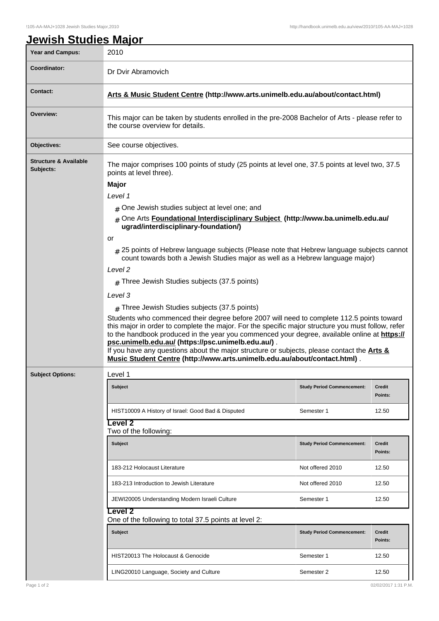|  | <b>Jewish Studies Major</b> |  |
|--|-----------------------------|--|
|  |                             |  |

| Year and Campus:                              | 2010                                                                                                                                                                                                                                                                                                                                                                                                                                                                                                                                        |                                   |                          |  |  |  |
|-----------------------------------------------|---------------------------------------------------------------------------------------------------------------------------------------------------------------------------------------------------------------------------------------------------------------------------------------------------------------------------------------------------------------------------------------------------------------------------------------------------------------------------------------------------------------------------------------------|-----------------------------------|--------------------------|--|--|--|
| Coordinator:                                  | Dr Dvir Abramovich                                                                                                                                                                                                                                                                                                                                                                                                                                                                                                                          |                                   |                          |  |  |  |
| <b>Contact:</b>                               | Arts & Music Student Centre (http://www.arts.unimelb.edu.au/about/contact.html)                                                                                                                                                                                                                                                                                                                                                                                                                                                             |                                   |                          |  |  |  |
| Overview:                                     | This major can be taken by students enrolled in the pre-2008 Bachelor of Arts - please refer to<br>the course overview for details.                                                                                                                                                                                                                                                                                                                                                                                                         |                                   |                          |  |  |  |
| <b>Objectives:</b>                            | See course objectives.                                                                                                                                                                                                                                                                                                                                                                                                                                                                                                                      |                                   |                          |  |  |  |
| <b>Structure &amp; Available</b><br>Subjects: | The major comprises 100 points of study (25 points at level one, 37.5 points at level two, 37.5<br>points at level three).<br><b>Major</b><br>Level 1                                                                                                                                                                                                                                                                                                                                                                                       |                                   |                          |  |  |  |
|                                               | $#$ One Jewish studies subject at level one; and<br>One Arts Foundational Interdisciplinary Subject (http://www.ba.unimelb.edu.au/<br>#<br>ugrad/interdisciplinary-foundation/)                                                                                                                                                                                                                                                                                                                                                             |                                   |                          |  |  |  |
|                                               | or<br># 25 points of Hebrew language subjects (Please note that Hebrew language subjects cannot<br>count towards both a Jewish Studies major as well as a Hebrew language major)<br>Level <sub>2</sub>                                                                                                                                                                                                                                                                                                                                      |                                   |                          |  |  |  |
|                                               | $#$ Three Jewish Studies subjects (37.5 points)                                                                                                                                                                                                                                                                                                                                                                                                                                                                                             |                                   |                          |  |  |  |
|                                               | Level 3<br>$#$ Three Jewish Studies subjects (37.5 points)                                                                                                                                                                                                                                                                                                                                                                                                                                                                                  |                                   |                          |  |  |  |
|                                               | Students who commenced their degree before 2007 will need to complete 112.5 points toward<br>this major in order to complete the major. For the specific major structure you must follow, refer<br>to the handbook produced in the year you commenced your degree, available online at https://<br>psc.unimelb.edu.au/ (https://psc.unimelb.edu.au/).<br>If you have any questions about the major structure or subjects, please contact the <b>Arts &amp;</b><br>Music Student Centre (http://www.arts.unimelb.edu.au/about/contact.html). |                                   |                          |  |  |  |
| <b>Subject Options:</b>                       | Level 1                                                                                                                                                                                                                                                                                                                                                                                                                                                                                                                                     |                                   |                          |  |  |  |
|                                               | <b>Subject</b>                                                                                                                                                                                                                                                                                                                                                                                                                                                                                                                              | <b>Study Period Commencement:</b> | <b>Credit</b><br>Points: |  |  |  |
|                                               | HIST10009 A History of Israel: Good Bad & Disputed                                                                                                                                                                                                                                                                                                                                                                                                                                                                                          | Semester 1                        | 12.50                    |  |  |  |
|                                               | evel 2-<br>Two of the following:                                                                                                                                                                                                                                                                                                                                                                                                                                                                                                            |                                   |                          |  |  |  |
|                                               | <b>Subject</b>                                                                                                                                                                                                                                                                                                                                                                                                                                                                                                                              | <b>Study Period Commencement:</b> | <b>Credit</b><br>Points: |  |  |  |
|                                               | 183-212 Holocaust Literature                                                                                                                                                                                                                                                                                                                                                                                                                                                                                                                | Not offered 2010                  | 12.50                    |  |  |  |
|                                               | 183-213 Introduction to Jewish Literature                                                                                                                                                                                                                                                                                                                                                                                                                                                                                                   | Not offered 2010                  | 12.50                    |  |  |  |
|                                               | JEWI20005 Understanding Modern Israeli Culture                                                                                                                                                                                                                                                                                                                                                                                                                                                                                              | Semester 1                        | 12.50                    |  |  |  |
|                                               | Level 2<br>One of the following to total 37.5 points at level 2:                                                                                                                                                                                                                                                                                                                                                                                                                                                                            |                                   |                          |  |  |  |
|                                               | <b>Subject</b>                                                                                                                                                                                                                                                                                                                                                                                                                                                                                                                              | <b>Study Period Commencement:</b> | Credit<br>Points:        |  |  |  |
|                                               | HIST20013 The Holocaust & Genocide                                                                                                                                                                                                                                                                                                                                                                                                                                                                                                          | Semester 1                        | 12.50                    |  |  |  |
|                                               | LING20010 Language, Society and Culture                                                                                                                                                                                                                                                                                                                                                                                                                                                                                                     | Semester 2                        | 12.50                    |  |  |  |